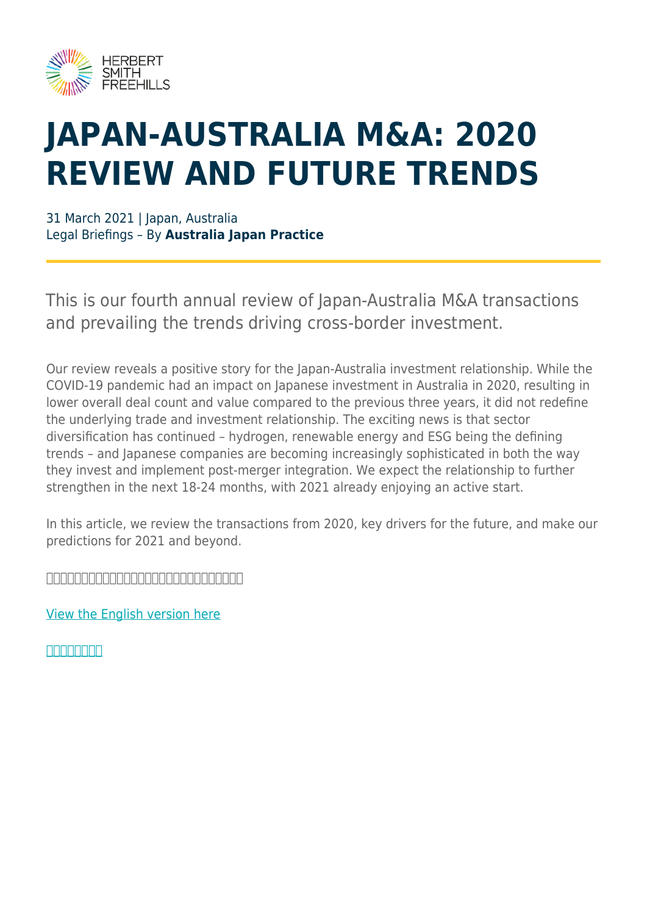

## **JAPAN-AUSTRALIA M&A: 2020 REVIEW AND FUTURE TRENDS**

31 March 2021 | Japan, Australia Legal Briefings – By **Australia Japan Practice**

This is our fourth annual review of Japan-Australia M&A transactions and prevailing the trends driving cross-border investment.

Our review reveals a positive story for the Japan-Australia investment relationship. While the COVID-19 pandemic had an impact on Japanese investment in Australia in 2020, resulting in lower overall deal count and value compared to the previous three years, it did not redefine the underlying trade and investment relationship. The exciting news is that sector diversification has continued – hydrogen, renewable energy and ESG being the defining trends – and Japanese companies are becoming increasingly sophisticated in both the way they invest and implement post-merger integration. We expect the relationship to further strengthen in the next 18-24 months, with 2021 already enjoying an active start.

In this article, we review the transactions from 2020, key drivers for the future, and make our predictions for 2021 and beyond.

<u>doodoodoodoodoodoodooda isaac</u>

[View the English version here](https://www.herbertsmithfreehills.com/file/53631/download?token=mltozLtR)

**GEREENSE**